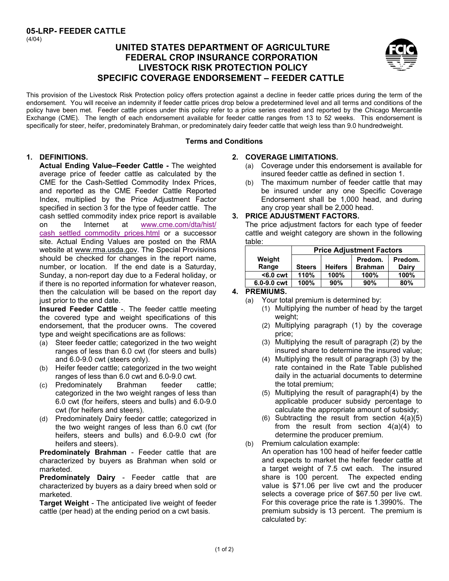# **UNITED STATES DEPARTMENT OF AGRICULTURE FEDERAL CROP INSURANCE CORPORATION LIVESTOCK RISK PROTECTION POLICY SPECIFIC COVERAGE ENDORSEMENT – FEEDER CATTLE**



This provision of the Livestock Risk Protection policy offers protection against a decline in feeder cattle prices during the term of the endorsement. You will receive an indemnity if feeder cattle prices drop below a predetermined level and all terms and conditions of the policy have been met. Feeder cattle prices under this policy refer to a price series created and reported by the Chicago Mercantile Exchange (CME). The length of each endorsement available for feeder cattle ranges from 13 to 52 weeks. This endorsement is specifically for steer, heifer, predominately Brahman, or predominately dairy feeder cattle that weigh less than 9.0 hundredweight.

#### **Terms and Conditions**

# **1. DEFINITIONS. 2.**

**Actual Ending Value–Feeder Cattle -** The weighted average price of feeder cattle as calculated by the CME for the Cash-Settled Commodity Index Prices, and reported as the CME Feeder Cattle Reported Index, multiplied by the Price Adjustment Factor specified in section 3 for the type of feeder cattle. The cash settled commodity index price report is available on the Internet at www.cme.com/dta/hist/ cash\_settled\_commodity\_prices.html or a successor site. Actual Ending Values are posted on the RMA website at www.rma.usda.gov. The Special Provisions should be checked for changes in the report name, number, or location. If the end date is a Saturday, Sunday, a non-report day due to a Federal holiday, or if there is no reported information for whatever reason, then the calculation will be based on the report day just prior to the end date.

 endorsement, that the producer owns. The covered **Insured Feeder Cattle** -. The feeder cattle meeting the covered type and weight specifications of this type and weight specifications are as follows:

- (a) Steer feeder cattle; categorized in the two weight ranges of less than 6.0 cwt (for steers and bulls) and 6.0-9.0 cwt (steers only).
- (b) Heifer feeder cattle; categorized in the two weight ranges of less than 6.0 cwt and 6.0-9.0 cwt.
- (c) Predominately Brahman feeder cattle; categorized in the two weight ranges of less than 6.0 cwt (for heifers, steers and bulls) and 6.0-9.0 cwt (for heifers and steers).
- (d) Predominately Dairy feeder cattle; categorized in the two weight ranges of less than 6.0 cwt (for heifers, steers and bulls) and 6.0-9.0 cwt (for heifers and steers).

**Predominately Brahman** - Feeder cattle that are characterized by buyers as Brahman when sold or marketed.

**Predominately Dairy** - Feeder cattle that are characterized by buyers as a dairy breed when sold or marketed.

**Target Weight** - The anticipated live weight of feeder cattle (per head) at the ending period on a cwt basis.

#### **COVERAGE LIMITATIONS.**

- (a) Coverage under this endorsement is available for insured feeder cattle as defined in section 1.
- (b) The maximum number of feeder cattle that may be insured under any one Specific Coverage Endorsement shall be 1,000 head, and during any crop year shall be 2,000 head.

#### **3. PRICE ADJUSTMENT FACTORS.**

The price adjustment factors for each type of feeder cattle and weight category are shown in the following table:

|             | <b>Price Adjustment Factors</b> |                |                |         |
|-------------|---------------------------------|----------------|----------------|---------|
| Weight      |                                 |                | Predom.        | Predom. |
| Range       | <b>Steers</b>                   | <b>Heifers</b> | <b>Brahman</b> | Dairy   |
| $6.0$ cwt   | 110%                            | 100%           | 100%           | 100%    |
| 6.0-9.0 cwt | 100%                            | 90%            | 90%            | 80%     |

### **4. PREMIUMS.**

- (a) Your total premium is determined by:
	- (1) Multiplying the number of head by the target weight:
	- (2) Multiplying paragraph (1) by the coverage price;
	- (3) Multiplying the result of paragraph (2) by the insured share to determine the insured value;
	- (4) Multiplying the result of paragraph (3) by the rate contained in the Rate Table published daily in the actuarial documents to determine the total premium;
	- (5) Multiplying the result of paragraph(4) by the applicable producer subsidy percentage to calculate the appropriate amount of subsidy;
	- $(6)$  Subtracting the result from section  $4(a)(5)$ from the result from section  $4(a)(4)$  to determine the producer premium.

(b) Premium calculation example: An operation has 100 head of heifer feeder cattle and expects to market the heifer feeder cattle at a target weight of 7.5 cwt each. The insured share is 100 percent. The expected ending value is \$71.06 per live cwt and the producer selects a coverage price of \$67.50 per live cwt. For this coverage price the rate is 1.3990%. The premium subsidy is 13 percent. The premium is calculated by: